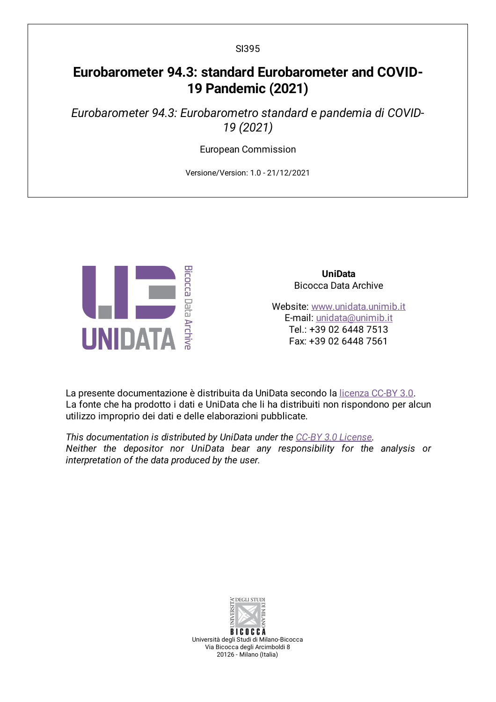# **Eurobarometer 94.3: standard Eurobarometer and COVID-19 Pandemic (2021)**

*Eurobarometer 94.3: Eurobarometro standard e pandemia di COVID-19 (2021)*

European Commission

Versione/Version: 1.0 - 21/12/2021



**UniData** Bicocca Data Archive

Website: [www.unidata.unimib.it](http://www.unidata.unimib.it) E-mail: [unidata@unimib.it](mailto:unidata@unimib.it) Tel.: +39 02 6448 7513 Fax: +39 02 6448 7561

La presente documentazione è distribuita da UniData secondo la [licenza](https://creativecommons.org/licenses/by/3.0/deed.it) CC-BY 3.0. La fonte che ha prodotto i dati e UniData che li ha distribuiti non rispondono per alcun utilizzo improprio dei dati e delle elaborazioni pubblicate.

*This documentation is distributed by UniData under the CC-BY 3.0 [License](https://creativecommons.org/licenses/by/3.0/). Neither the depositor nor UniData bear any responsibility for the analysis or interpretation of the data produced by the user.*



Università degli Studi di Milano-Bicocca Via Bicocca degli Arcimboldi 8 20126 - Milano (Italia)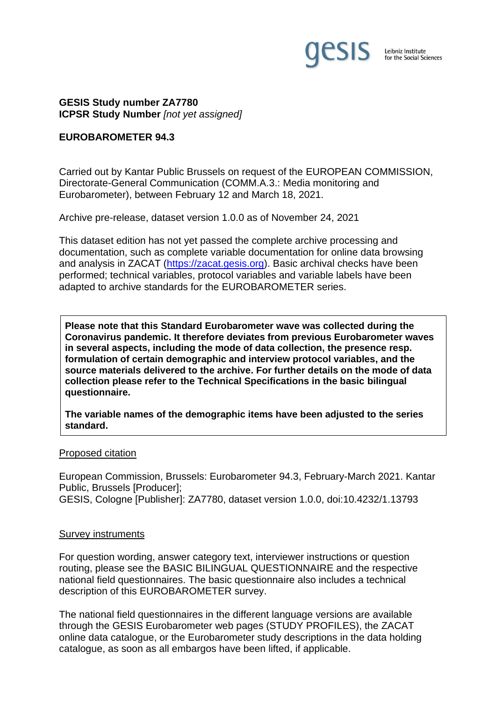

**GESIS Study number ZA7780 ICPSR Study Number** *[not yet assigned]*

### **EUROBAROMETER 94.3**

Carried out by Kantar Public Brussels on request of the EUROPEAN COMMISSION, Directorate-General Communication (COMM.A.3.: Media monitoring and Eurobarometer), between February 12 and March 18, 2021.

Archive pre-release, dataset version 1.0.0 as of November 24, 2021

This dataset edition has not yet passed the complete archive processing and documentation, such as complete variable documentation for online data browsing and analysis in ZACAT [\(https://zacat.gesis.org\)](https://zacat.gesis.org/). Basic archival checks have been performed; technical variables, protocol variables and variable labels have been adapted to archive standards for the EUROBAROMETER series.

**Please note that this Standard Eurobarometer wave was collected during the Coronavirus pandemic. It therefore deviates from previous Eurobarometer waves in several aspects, including the mode of data collection, the presence resp. formulation of certain demographic and interview protocol variables, and the source materials delivered to the archive. For further details on the mode of data collection please refer to the Technical Specifications in the basic bilingual questionnaire.**

**The variable names of the demographic items have been adjusted to the series standard.**

#### Proposed citation

European Commission, Brussels: Eurobarometer 94.3, February-March 2021. Kantar Public, Brussels [Producer]; GESIS, Cologne [Publisher]: ZA7780, dataset version 1.0.0, doi:10.4232/1.13793

#### Survey instruments

For question wording, answer category text, interviewer instructions or question routing, please see the BASIC BILINGUAL QUESTIONNAIRE and the respective national field questionnaires. The basic questionnaire also includes a technical description of this EUROBAROMETER survey.

The national field questionnaires in the different language versions are available through the GESIS Eurobarometer web pages (STUDY PROFILES), the ZACAT online data catalogue, or the Eurobarometer study descriptions in the data holding catalogue, as soon as all embargos have been lifted, if applicable.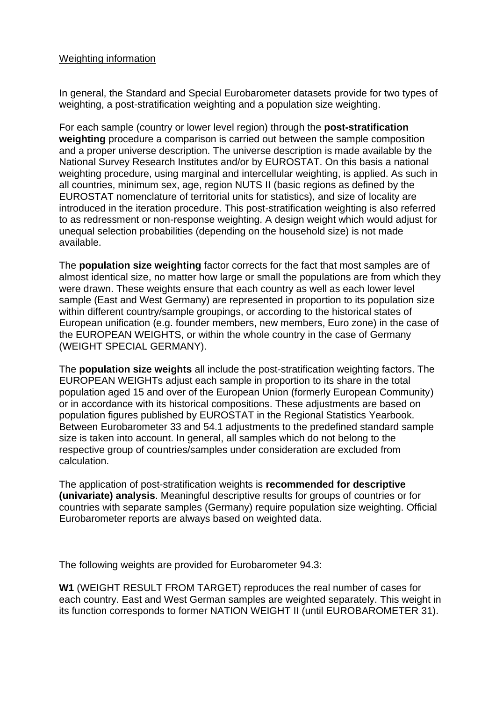## Weighting information

In general, the Standard and Special Eurobarometer datasets provide for two types of weighting, a post-stratification weighting and a population size weighting.

For each sample (country or lower level region) through the **post-stratification weighting** procedure a comparison is carried out between the sample composition and a proper universe description. The universe description is made available by the National Survey Research Institutes and/or by EUROSTAT. On this basis a national weighting procedure, using marginal and intercellular weighting, is applied. As such in all countries, minimum sex, age, region NUTS II (basic regions as defined by the EUROSTAT nomenclature of territorial units for statistics), and size of locality are introduced in the iteration procedure. This post-stratification weighting is also referred to as redressment or non-response weighting. A design weight which would adjust for unequal selection probabilities (depending on the household size) is not made available.

The **population size weighting** factor corrects for the fact that most samples are of almost identical size, no matter how large or small the populations are from which they were drawn. These weights ensure that each country as well as each lower level sample (East and West Germany) are represented in proportion to its population size within different country/sample groupings, or according to the historical states of European unification (e.g. founder members, new members, Euro zone) in the case of the EUROPEAN WEIGHTS, or within the whole country in the case of Germany (WEIGHT SPECIAL GERMANY).

The **population size weights** all include the post-stratification weighting factors. The EUROPEAN WEIGHTs adjust each sample in proportion to its share in the total population aged 15 and over of the European Union (formerly European Community) or in accordance with its historical compositions. These adjustments are based on population figures published by EUROSTAT in the Regional Statistics Yearbook. Between Eurobarometer 33 and 54.1 adjustments to the predefined standard sample size is taken into account. In general, all samples which do not belong to the respective group of countries/samples under consideration are excluded from calculation.

The application of post-stratification weights is **recommended for descriptive (univariate) analysis**. Meaningful descriptive results for groups of countries or for countries with separate samples (Germany) require population size weighting. Official Eurobarometer reports are always based on weighted data.

The following weights are provided for Eurobarometer 94.3:

**W1** (WEIGHT RESULT FROM TARGET) reproduces the real number of cases for each country. East and West German samples are weighted separately. This weight in its function corresponds to former NATION WEIGHT II (until EUROBAROMETER 31).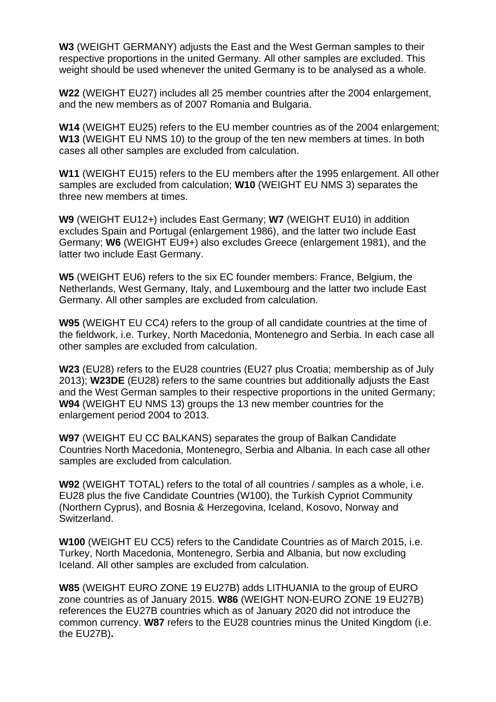**W3** (WEIGHT GERMANY) adjusts the East and the West German samples to their respective proportions in the united Germany. All other samples are excluded. This weight should be used whenever the united Germany is to be analysed as a whole.

**W22** (WEIGHT EU27) includes all 25 member countries after the 2004 enlargement, and the new members as of 2007 Romania and Bulgaria.

**W14** (WEIGHT EU25) refers to the EU member countries as of the 2004 enlargement; **W13** (WEIGHT EU NMS 10) to the group of the ten new members at times. In both cases all other samples are excluded from calculation.

**W11** (WEIGHT EU15) refers to the EU members after the 1995 enlargement. All other samples are excluded from calculation; **W10** (WEIGHT EU NMS 3) separates the three new members at times.

**W9** (WEIGHT EU12+) includes East Germany; **W7** (WEIGHT EU10) in addition excludes Spain and Portugal (enlargement 1986), and the latter two include East Germany; **W6** (WEIGHT EU9+) also excludes Greece (enlargement 1981), and the latter two include East Germany.

**W5** (WEIGHT EU6) refers to the six EC founder members: France, Belgium, the Netherlands, West Germany, Italy, and Luxembourg and the latter two include East Germany. All other samples are excluded from calculation.

**W95** (WEIGHT EU CC4) refers to the group of all candidate countries at the time of the fieldwork, i.e. Turkey, North Macedonia, Montenegro and Serbia. In each case all other samples are excluded from calculation.

**W23** (EU28) refers to the EU28 countries (EU27 plus Croatia; membership as of July 2013); **W23DE** (EU28) refers to the same countries but additionally adjusts the East and the West German samples to their respective proportions in the united Germany; **W94** (WEIGHT EU NMS 13) groups the 13 new member countries for the enlargement period 2004 to 2013.

**W97** (WEIGHT EU CC BALKANS) separates the group of Balkan Candidate Countries North Macedonia, Montenegro, Serbia and Albania. In each case all other samples are excluded from calculation.

**W92** (WEIGHT TOTAL) refers to the total of all countries / samples as a whole, i.e. EU28 plus the five Candidate Countries (W100), the Turkish Cypriot Community (Northern Cyprus), and Bosnia & Herzegovina, Iceland, Kosovo, Norway and Switzerland.

**W100** (WEIGHT EU CC5) refers to the Candidate Countries as of March 2015, i.e. Turkey, North Macedonia, Montenegro, Serbia and Albania, but now excluding Iceland. All other samples are excluded from calculation.

**W85** (WEIGHT EURO ZONE 19 EU27B) adds LITHUANIA to the group of EURO zone countries as of January 2015. **W86** (WEIGHT NON-EURO ZONE 19 EU27B) references the EU27B countries which as of January 2020 did not introduce the common currency. **W87** refers to the EU28 countries minus the United Kingdom (i.e. the EU27B)**.**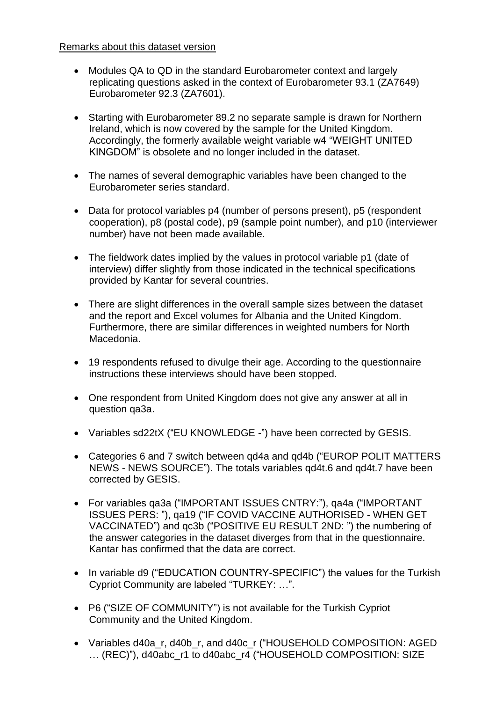## Remarks about this dataset version

- Modules QA to QD in the standard Eurobarometer context and largely replicating questions asked in the context of Eurobarometer 93.1 (ZA7649) Eurobarometer 92.3 (ZA7601).
- Starting with Eurobarometer 89.2 no separate sample is drawn for Northern Ireland, which is now covered by the sample for the United Kingdom. Accordingly, the formerly available weight variable w4 "WEIGHT UNITED KINGDOM" is obsolete and no longer included in the dataset.
- The names of several demographic variables have been changed to the Eurobarometer series standard.
- Data for protocol variables p4 (number of persons present), p5 (respondent cooperation), p8 (postal code), p9 (sample point number), and p10 (interviewer number) have not been made available.
- The fieldwork dates implied by the values in protocol variable p1 (date of interview) differ slightly from those indicated in the technical specifications provided by Kantar for several countries.
- There are slight differences in the overall sample sizes between the dataset and the report and Excel volumes for Albania and the United Kingdom. Furthermore, there are similar differences in weighted numbers for North Macedonia.
- 19 respondents refused to divulge their age. According to the questionnaire instructions these interviews should have been stopped.
- One respondent from United Kingdom does not give any answer at all in question qa3a.
- Variables sd22tX ("EU KNOWLEDGE -") have been corrected by GESIS.
- Categories 6 and 7 switch between qd4a and qd4b ("EUROP POLIT MATTERS NEWS - NEWS SOURCE"). The totals variables qd4t.6 and qd4t.7 have been corrected by GESIS.
- For variables qa3a ("IMPORTANT ISSUES CNTRY:"), qa4a ("IMPORTANT ISSUES PERS: "), qa19 ("IF COVID VACCINE AUTHORISED - WHEN GET VACCINATED") and qc3b ("POSITIVE EU RESULT 2ND: ") the numbering of the answer categories in the dataset diverges from that in the questionnaire. Kantar has confirmed that the data are correct.
- In variable d9 ("EDUCATION COUNTRY-SPECIFIC") the values for the Turkish Cypriot Community are labeled "TURKEY: …".
- P6 ("SIZE OF COMMUNITY") is not available for the Turkish Cypriot Community and the United Kingdom.
- Variables d40a\_r, d40b\_r, and d40c\_r ("HOUSEHOLD COMPOSITION: AGED ... (REC)"), d40abc\_r1 to d40abc\_r4 ("HOUSEHOLD COMPOSITION: SIZE